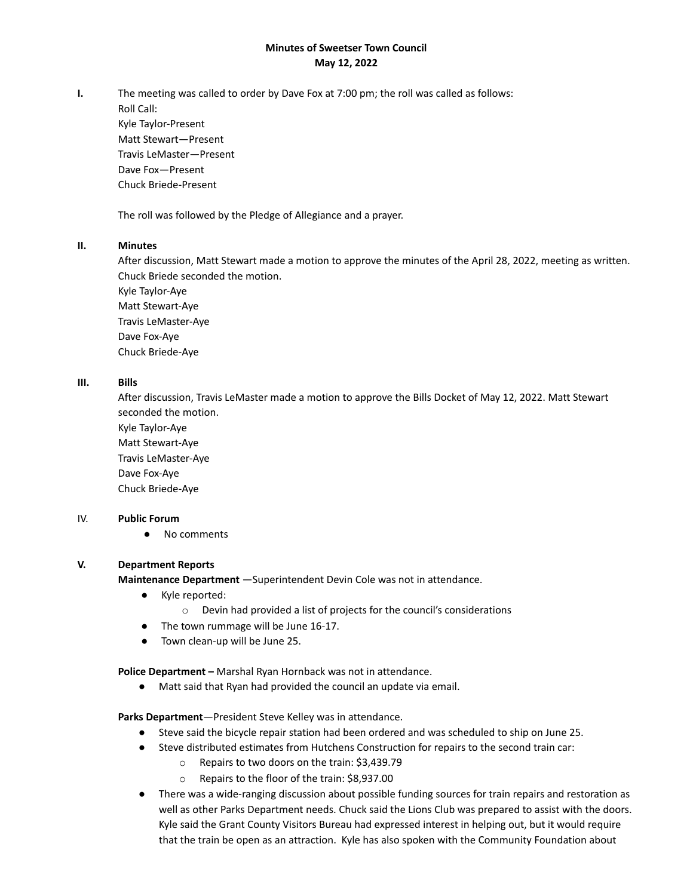# **Minutes of Sweetser Town Council May 12, 2022**

**I.** The meeting was called to order by Dave Fox at 7:00 pm; the roll was called as follows:

Roll Call: Kyle Taylor-Present Matt Stewart—Present Travis LeMaster—Present Dave Fox—Present Chuck Briede-Present

The roll was followed by the Pledge of Allegiance and a prayer.

# **II. Minutes**

After discussion, Matt Stewart made a motion to approve the minutes of the April 28, 2022, meeting as written. Chuck Briede seconded the motion.

Kyle Taylor-Aye Matt Stewart-Aye Travis LeMaster-Aye Dave Fox-Aye Chuck Briede-Aye

# **III. Bills**

After discussion, Travis LeMaster made a motion to approve the Bills Docket of May 12, 2022. Matt Stewart seconded the motion.

Kyle Taylor-Aye Matt Stewart-Aye Travis LeMaster-Aye Dave Fox-Aye Chuck Briede-Aye

### IV. **Public Forum**

● No comments

# **V. Department Reports**

**Maintenance Department** —Superintendent Devin Cole was not in attendance.

- Kyle reported:
	- o Devin had provided a list of projects for the council's considerations
- The town rummage will be June 16-17.
- Town clean-up will be June 25.

**Police Department –** Marshal Ryan Hornback was not in attendance.

● Matt said that Ryan had provided the council an update via email.

### **Parks Department**—President Steve Kelley was in attendance.

- Steve said the bicycle repair station had been ordered and was scheduled to ship on June 25.
- Steve distributed estimates from Hutchens Construction for repairs to the second train car:
	- o Repairs to two doors on the train: \$3,439.79
	- o Repairs to the floor of the train: \$8,937.00
- There was a wide-ranging discussion about possible funding sources for train repairs and restoration as well as other Parks Department needs. Chuck said the Lions Club was prepared to assist with the doors. Kyle said the Grant County Visitors Bureau had expressed interest in helping out, but it would require that the train be open as an attraction. Kyle has also spoken with the Community Foundation about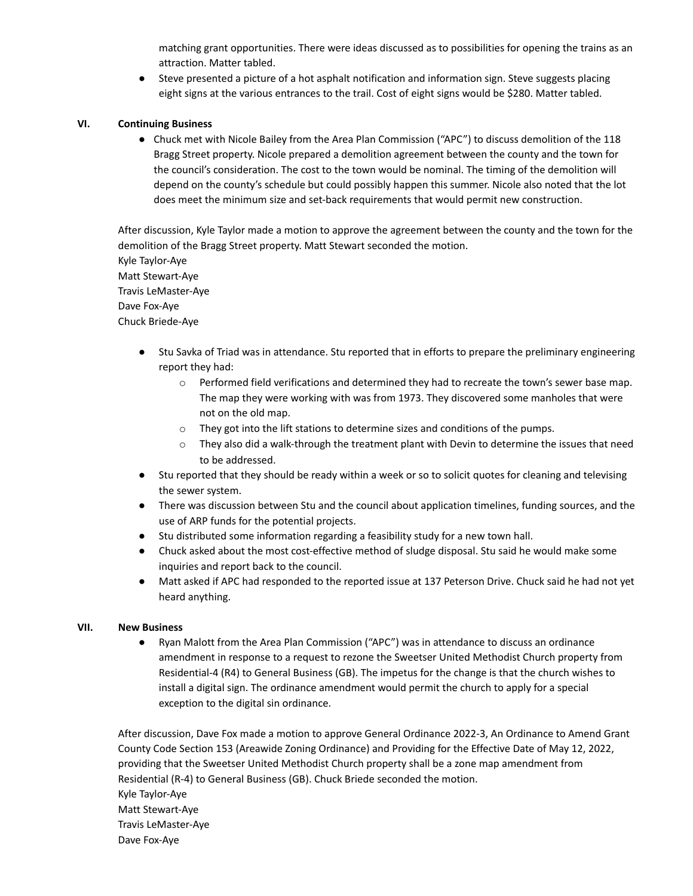matching grant opportunities. There were ideas discussed as to possibilities for opening the trains as an attraction. Matter tabled.

● Steve presented a picture of a hot asphalt notification and information sign. Steve suggests placing eight signs at the various entrances to the trail. Cost of eight signs would be \$280. Matter tabled.

## **VI. Continuing Business**

● Chuck met with Nicole Bailey from the Area Plan Commission ("APC") to discuss demolition of the 118 Bragg Street property. Nicole prepared a demolition agreement between the county and the town for the council's consideration. The cost to the town would be nominal. The timing of the demolition will depend on the county's schedule but could possibly happen this summer. Nicole also noted that the lot does meet the minimum size and set-back requirements that would permit new construction.

After discussion, Kyle Taylor made a motion to approve the agreement between the county and the town for the demolition of the Bragg Street property. Matt Stewart seconded the motion. Kyle Taylor-Aye Matt Stewart-Aye Travis LeMaster-Aye Dave Fox-Aye Chuck Briede-Aye

- Stu Savka of Triad was in attendance. Stu reported that in efforts to prepare the preliminary engineering report they had:
	- $\circ$  Performed field verifications and determined they had to recreate the town's sewer base map. The map they were working with was from 1973. They discovered some manholes that were not on the old map.
	- o They got into the lift stations to determine sizes and conditions of the pumps.
	- $\circ$  They also did a walk-through the treatment plant with Devin to determine the issues that need to be addressed.
- Stu reported that they should be ready within a week or so to solicit quotes for cleaning and televising the sewer system.
- There was discussion between Stu and the council about application timelines, funding sources, and the use of ARP funds for the potential projects.
- Stu distributed some information regarding a feasibility study for a new town hall.
- Chuck asked about the most cost-effective method of sludge disposal. Stu said he would make some inquiries and report back to the council.
- Matt asked if APC had responded to the reported issue at 137 Peterson Drive. Chuck said he had not yet heard anything.

### **VII. New Business**

● Ryan Malott from the Area Plan Commission ("APC") was in attendance to discuss an ordinance amendment in response to a request to rezone the Sweetser United Methodist Church property from Residential-4 (R4) to General Business (GB). The impetus for the change is that the church wishes to install a digital sign. The ordinance amendment would permit the church to apply for a special exception to the digital sin ordinance.

After discussion, Dave Fox made a motion to approve General Ordinance 2022-3, An Ordinance to Amend Grant County Code Section 153 (Areawide Zoning Ordinance) and Providing for the Effective Date of May 12, 2022, providing that the Sweetser United Methodist Church property shall be a zone map amendment from Residential (R-4) to General Business (GB). Chuck Briede seconded the motion. Kyle Taylor-Aye Matt Stewart-Aye Travis LeMaster-Aye Dave Fox-Aye